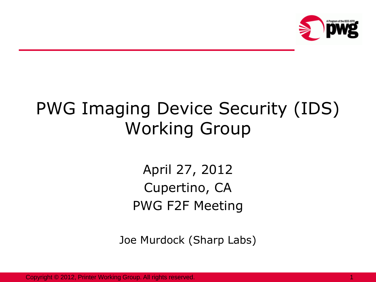

# PWG Imaging Device Security (IDS) Working Group

April 27, 2012 Cupertino, CA PWG F2F Meeting

Joe Murdock (Sharp Labs)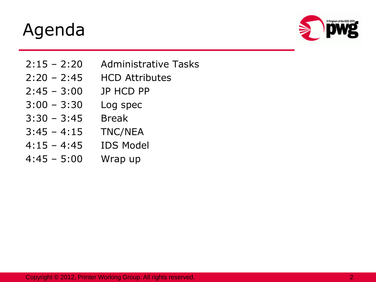#### Agenda



- 2:15 2:20 Administrative Tasks
- 2:20 2:45 HCD Attributes
- 2:45 3:00 JP HCD PP
- 3:00 3:30 Log spec
- 3:30 3:45 Break
- 3:45 4:15 TNC/NEA
- 4:15 4:45 IDS Model
- 4:45 5:00 Wrap up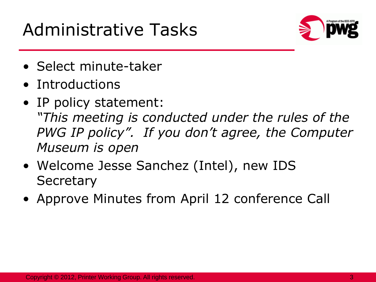## Administrative Tasks



- Select minute-taker
- Introductions
- IP policy statement: *"This meeting is conducted under the rules of the PWG IP policy". If you don't agree, the Computer Museum is open*
- Welcome Jesse Sanchez (Intel), new IDS **Secretary**
- Approve Minutes from April 12 conference Call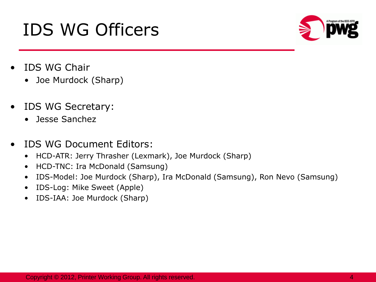#### • IDS WG Chair • Joe Murdock (Sharp)

- IDS WG Secretary:
	- Jesse Sanchez
- IDS WG Document Editors:
	- HCD-ATR: Jerry Thrasher (Lexmark), Joe Murdock (Sharp)
	- HCD-TNC: Ira McDonald (Samsung)
	- IDS-Model: Joe Murdock (Sharp), Ira McDonald (Samsung), Ron Nevo (Samsung)
	- IDS-Log: Mike Sweet (Apple)
	- IDS-IAA: Joe Murdock (Sharp)





## IDS WG Officers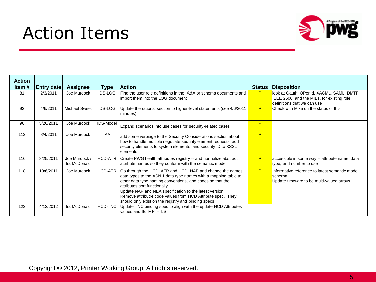### Action Items



| <b>Action</b><br>Item $#$ | <b>Entry date</b> | <b>Assignee</b>             | <b>Type</b>    | <b>Action</b>                                                                                                                                                                                                                                                                                                                                                                                             | <b>Status</b> | <b>Disposition</b>                                                                                                     |
|---------------------------|-------------------|-----------------------------|----------------|-----------------------------------------------------------------------------------------------------------------------------------------------------------------------------------------------------------------------------------------------------------------------------------------------------------------------------------------------------------------------------------------------------------|---------------|------------------------------------------------------------------------------------------------------------------------|
| 81                        | 2/3/2011          | Joe Murdock                 | <b>IDS-LOG</b> | Find the user role definitions in the IA&A or schema documents and<br>import them into the LOG document                                                                                                                                                                                                                                                                                                   | P             | look at Oauth, OPenId, XACML, SAML, DMTF,<br>IEEE 2600, and the MIBs, for existing role<br>definitions that we can use |
| 92                        | 4/6/2011          | <b>Michael Sweet</b>        | <b>IDS-LOG</b> | Update the rational section to higher-level statements (see 4/6/2011<br>minutes)                                                                                                                                                                                                                                                                                                                          | P             | Check with Mike on the status of this                                                                                  |
| 96                        | 5/26/2011         | Joe Murdock                 | IDS-Model      | Expand scenarios into use cases for security-related cases                                                                                                                                                                                                                                                                                                                                                | P             |                                                                                                                        |
| 112                       | 8/4/2011          | Joe Murdock                 | <b>IAA</b>     | add some verbiage to the Security Considerations section about<br>how to handle multiple negotiate security element requests; add<br>security elements to system elements, and security ID to XSSL<br>lelements                                                                                                                                                                                           | P             |                                                                                                                        |
| 116                       | 8/25/2011         | Joe Murdock<br>Ira McDonald | HCD-ATR        | Create PWG health attributes registry -- and normalize abstract<br>attribute names so they conform with the semantic model                                                                                                                                                                                                                                                                                | P             | accessible in some way -- attribute name, data<br>type, and number to use                                              |
| 118                       | 10/6/2011         | Joe Murdock                 | <b>HCD-ATR</b> | Go through the HCD_ATR and HCD_NAP and change the names,<br>data types to the ASN.1 data type names with a mapping table to<br>other data type naming conventions, and codes so that the<br>attributes sort functionally.<br>Update NAP and NEA specification to the latest version<br>Remove attributre code values from HCD Attribute spec. They<br>should only exist on the registry and binding specs | P             | Informative reference to latest semantic model<br>lschema<br>Update firmware to be multi-valued arrays                 |
| 123                       | 4/12/2012         | Ira McDonald                | HCD-TNC        | Update TNC binding spec to align with the update HCD Attributes<br>values and IETF PT-TLS                                                                                                                                                                                                                                                                                                                 |               |                                                                                                                        |

Copyright © 2012, Printer Working Group. All rights reserved.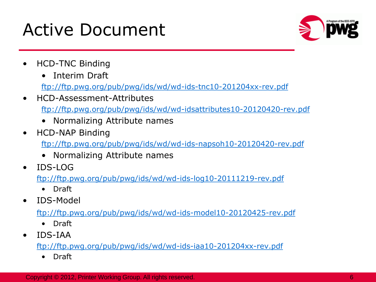#### Active Document



- HCD-TNC Binding
	- Interim Draft

<ftp://ftp.pwg.org/pub/pwg/ids/wd/wd-ids-tnc10-201204xx-rev.pdf>

• HCD-Assessment-Attributes

<ftp://ftp.pwg.org/pub/pwg/ids/wd/wd-idsattributes10-20120420-rev.pdf>

- Normalizing Attribute names
- HCD-NAP Binding

<ftp://ftp.pwg.org/pub/pwg/ids/wd/wd-ids-napsoh10-20120420-rev.pdf>

- Normalizing Attribute names
- IDS-LOG

<ftp://ftp.pwg.org/pub/pwg/ids/wd/wd-ids-log10-20111219-rev.pdf>

- Draft
- IDS-Model

<ftp://ftp.pwg.org/pub/pwg/ids/wd/wd-ids-model10-20120425-rev.pdf>

- Draft
- IDS-IAA

<ftp://ftp.pwg.org/pub/pwg/ids/wd/wd-ids-iaa10-201204xx-rev.pdf>

• Draft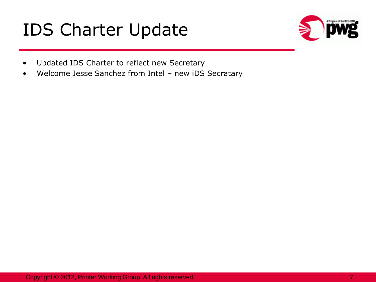### IDS Charter Update



- Updated IDS Charter to reflect new Secretary
- Welcome Jesse Sanchez from Intel new iDS Secratary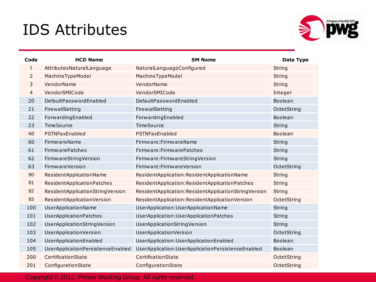#### IDS Attributes



| Code           | <b>HCD Name</b>                   | <b>SM Name</b>                                       | Data Type     |
|----------------|-----------------------------------|------------------------------------------------------|---------------|
| 1              | AttributesNaturalLanguage         | NaturalLanguageConfigured                            | <b>String</b> |
| $\overline{2}$ | MachineTypeModel                  | MachineTypeModel                                     | <b>String</b> |
| 3              | VendorName                        | VendorName                                           | <b>String</b> |
| $\overline{4}$ | VendorSMICode                     | VendorSMICode                                        | Integer       |
| 20             | DefaultPasswordEnabled            | DefaultPasswordEnabled                               | Boolean       |
| 21             | FirewallSetting                   | FirewallSetting                                      | OctetString   |
| 22             | ForwardingEnabled                 | ForwardingEnabled                                    | Boolean       |
| 23             | <b>TimeSource</b>                 | <b>TimeSource</b>                                    | <b>String</b> |
| 40             | PSTNFaxEnabled                    | PSTNFaxEnabled                                       | Boolean       |
| 60             | <b>FirmwareName</b>               | Firmware: Firmware Name                              | <b>String</b> |
| 61             | <b>FirmwarePatches</b>            | Firmware: Firmware Patches                           | <b>String</b> |
| 62             | FirmwareStringVersion             | Firmware: Firmware String Version                    | String        |
| 63             | <b>FirmwareVersion</b>            | Firmware: Firmware Version                           | OctetString   |
| 80             | ResidentApplicationName           | ResidentApplication:ResidentApplicationName          | <b>String</b> |
| 81             | ResidentApplicationPatches        | ResidentApplication:ResidentApplicationPatches       | <b>String</b> |
| 82             | ResidentApplicationStringVersion  | ResidentApplication:ResidentApplicationStringVersion | <b>String</b> |
| 83             | ResidentApplicationVersion        | ResidentApplication:ResidentApplicationVersion       | OctetString   |
| 100            | UserApplicationName               | UserApplication:UserApplicationName                  | <b>String</b> |
| 101            | <b>UserApplicationPatches</b>     | UserApplication:UserApplicationPatches               | <b>String</b> |
| 102            | UserApplicationStringVersion      | UserApplicationStringVersion                         | <b>String</b> |
| 103            | <b>UserApplicationVersion</b>     | UserApplicationVersion                               | OctetString   |
| 104            | UserApplicationEnabled            | UserApplication:UserApplicationEnabled               | Boolean       |
| 105            | UserApplicationPersistenceEnabled | UserApplication:UserApplicationPersistenceEnabled    | Boolean       |
| 200            | CertificationState                | CertificationState                                   | OctetString   |
| 201            | ConfigurationState                | ConfigurationState                                   | OctetString   |

Copyright © 2012, Printer Working Group. All rights reserved.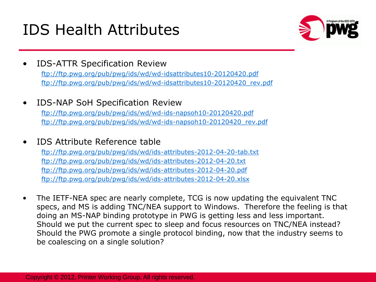#### IDS Health Attributes



- IDS-ATTR Specification Review <ftp://ftp.pwg.org/pub/pwg/ids/wd/wd-idsattributes10-20120420.pdf> [ftp://ftp.pwg.org/pub/pwg/ids/wd/wd-idsattributes10-20120420\\_rev.pdf](ftp://ftp.pwg.org/pub/pwg/ids/wd/wd-idsattributes10-20120420_rev.pdf)
- IDS-NAP SoH Specification Review

<ftp://ftp.pwg.org/pub/pwg/ids/wd/wd-ids-napsoh10-20120420.pdf> [ftp://ftp.pwg.org/pub/pwg/ids/wd/wd-ids-napsoh10-20120420\\_rev.pdf](ftp://ftp.pwg.org/pub/pwg/ids/wd/wd-ids-napsoh10-20120420_rev.pdf)

• IDS Attribute Reference table

<ftp://ftp.pwg.org/pub/pwg/ids/wd/ids-attributes-2012-04-20-tab.txt> <ftp://ftp.pwg.org/pub/pwg/ids/wd/ids-attributes-2012-04-20.txt> <ftp://ftp.pwg.org/pub/pwg/ids/wd/ids-attributes-2012-04-20.pdf> <ftp://ftp.pwg.org/pub/pwg/ids/wd/ids-attributes-2012-04-20.xlsx>

• The IETF-NEA spec are nearly complete, TCG is now updating the equivalent TNC specs, and MS is adding TNC/NEA support to Windows. Therefore the feeling is that doing an MS-NAP binding prototype in PWG is getting less and less important. Should we put the current spec to sleep and focus resources on TNC/NEA instead? Should the PWG promote a single protocol binding, now that the industry seems to be coalescing on a single solution?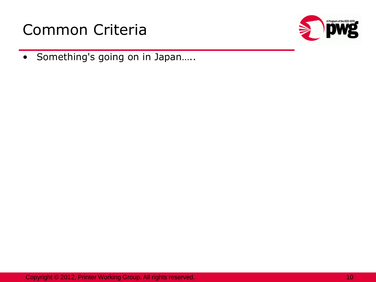



• Something's going on in Japan…..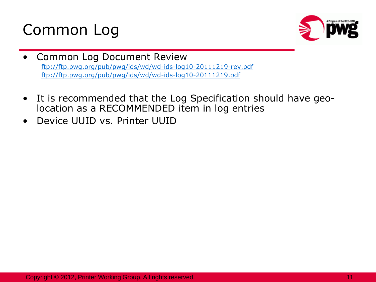



- Common Log Document Review <ftp://ftp.pwg.org/pub/pwg/ids/wd/wd-ids-log10-20111219-rev.pdf> [ftp://ftp.pwg.org/pub/pwg/ids/wd/wd-ids-log10-20111219.pdf](ftp://ftp.pwg.org/pub/pwg/ids/wd/wd-ids-log10-20111219-rev.pdf)
- It is recommended that the Log Specification should have geolocation as a RECOMMENDED item in log entries
- Device UUID vs. Printer UUID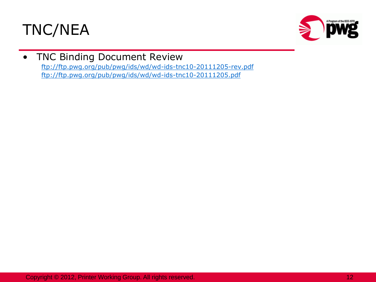



#### TNC Binding Document Review

<ftp://ftp.pwg.org/pub/pwg/ids/wd/wd-ids-tnc10-20111205-rev.pdf> <ftp://ftp.pwg.org/pub/pwg/ids/wd/wd-ids-tnc10-20111205.pdf>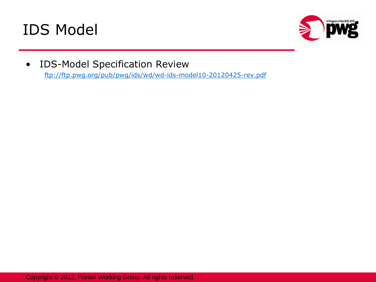



• IDS-Model Specification Review

<ftp://ftp.pwg.org/pub/pwg/ids/wd/wd-ids-model10-20120425-rev.pdf>